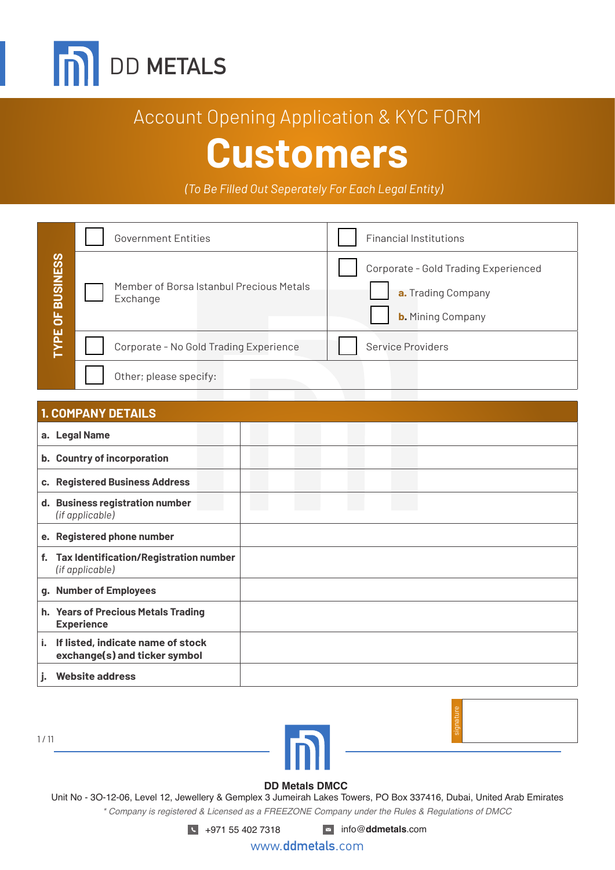

*(To Be Filled Out Seperately For Each Legal Entity)*

|                    | <b>Government Entities</b>                           | <b>Financial Institutions</b>                                                          |  |  |  |
|--------------------|------------------------------------------------------|----------------------------------------------------------------------------------------|--|--|--|
| <b>OF BUSINESS</b> | Member of Borsa Istanbul Precious Metals<br>Exchange | Corporate - Gold Trading Experienced<br>a. Trading Company<br><b>b.</b> Mining Company |  |  |  |
| <b>AdA</b>         | Corporate - No Gold Trading Experience               | <b>Service Providers</b>                                                               |  |  |  |
|                    | Other; please specify:                               |                                                                                        |  |  |  |

| <b>TYPE OF BUSINESS</b> | Member of Borsa Istanbul Precious Metals<br>Exchange<br>Corporate - No Gold Trading Experience | Corporate - Gold Trading Experienced<br>a. Trading Company<br><b>b.</b> Mining Company<br>Service Providers |
|-------------------------|------------------------------------------------------------------------------------------------|-------------------------------------------------------------------------------------------------------------|
|                         | Other; please specify:                                                                         |                                                                                                             |
|                         | <b>1. COMPANY DETAILS</b>                                                                      |                                                                                                             |
|                         | a. Legal Name                                                                                  |                                                                                                             |
|                         | b. Country of incorporation                                                                    |                                                                                                             |
|                         | c. Registered Business Address                                                                 |                                                                                                             |
|                         | d. Business registration number<br>(if applicable)                                             |                                                                                                             |
|                         | e. Registered phone number                                                                     |                                                                                                             |
| f.                      | Tax Identification/Registration number<br>(if applicable)                                      |                                                                                                             |
|                         | g. Number of Employees                                                                         |                                                                                                             |
|                         | h. Years of Precious Metals Trading<br><b>Experience</b>                                       |                                                                                                             |
| i.                      | If listed, indicate name of stock<br>exchange(s) and ticker symbol                             |                                                                                                             |
|                         | <b>Website address</b>                                                                         |                                                                                                             |

1 / 11





#### **DD Metals DMCC**

Unit No - 3O-12-06, Level 12, Jewellery & Gemplex 3 Jumeirah Lakes Towers, PO Box 337416, Dubai, United Arab Emirates *\* Company is registered & Licensed as a FREEZONE Company under the Rules & Regulations of DMCC*

+971 55 402 7318 info@**ddmetals**.com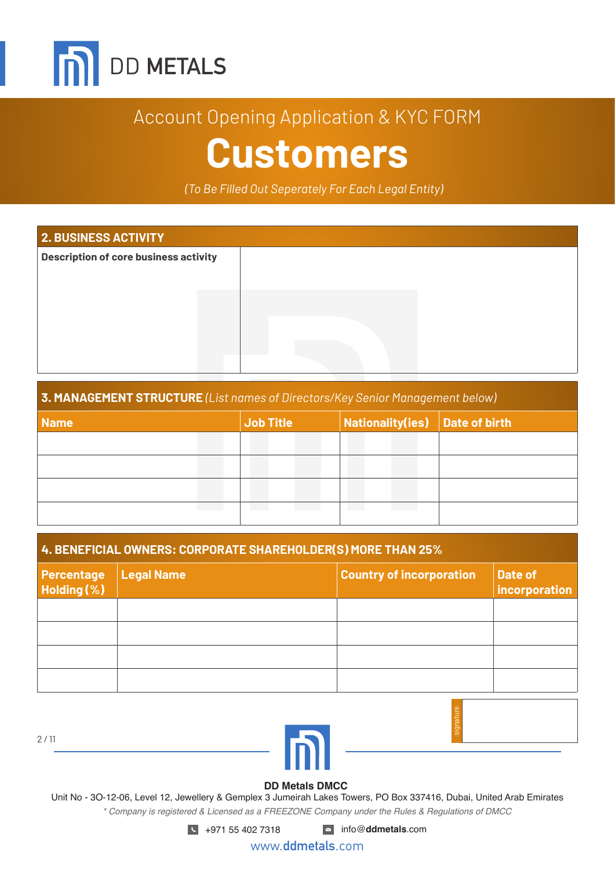

*(To Be Filled Out Seperately For Each Legal Entity)*

| <b>2. BUSINESS ACTIVITY</b>                  |  |  |  |  |  |
|----------------------------------------------|--|--|--|--|--|
| <b>Description of core business activity</b> |  |  |  |  |  |
|                                              |  |  |  |  |  |
|                                              |  |  |  |  |  |
|                                              |  |  |  |  |  |
|                                              |  |  |  |  |  |
|                                              |  |  |  |  |  |
|                                              |  |  |  |  |  |

#### **3. MANAGEMENT STRUCTURE** *(List names of Directors/Key Senior Management below)*

| <b>Name</b> | <b>Job Title</b> | Nationality(ies) Date of birth |  |  |
|-------------|------------------|--------------------------------|--|--|
|             |                  |                                |  |  |
|             |                  |                                |  |  |
|             |                  |                                |  |  |
|             |                  |                                |  |  |

| 4. BENEFICIAL OWNERS: CORPORATE SHAREHOLDER(S) MORE THAN 25% |            |                                 |                          |  |  |  |
|--------------------------------------------------------------|------------|---------------------------------|--------------------------|--|--|--|
| Percentage<br>Holding (%)                                    | Legal Name | <b>Country of incorporation</b> | Date of<br>incorporation |  |  |  |
|                                                              |            |                                 |                          |  |  |  |
|                                                              |            |                                 |                          |  |  |  |
|                                                              |            |                                 |                          |  |  |  |
|                                                              |            |                                 |                          |  |  |  |

2 / 11





#### **DD Metals DMCC**

Unit No - 3O-12-06, Level 12, Jewellery & Gemplex 3 Jumeirah Lakes Towers, PO Box 337416, Dubai, United Arab Emirates *\* Company is registered & Licensed as a FREEZONE Company under the Rules & Regulations of DMCC*

+971 55 402 7318 info@**ddmetals**.com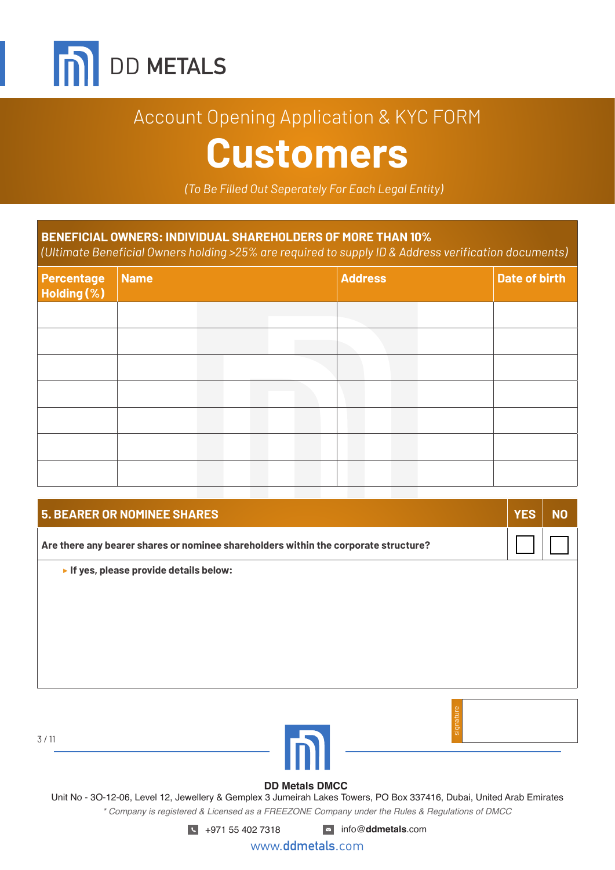

## Account Opening Application & KYC FORM

## **Customers**

*(To Be Filled Out Seperately For Each Legal Entity)*

### **BENEFICIAL OWNERS: INDIVIDUAL SHAREHOLDERS OF MORE THAN 10%**

*(Ultimate Beneficial Owners holding >25% are required to supply ID & Address verification documents)*

| <b>Percentage</b><br>Holding (%) | Name |  | <b>Address</b> |  | Date of birth |
|----------------------------------|------|--|----------------|--|---------------|
|                                  |      |  |                |  |               |
|                                  |      |  |                |  |               |
|                                  |      |  |                |  |               |
|                                  |      |  |                |  |               |
|                                  |      |  |                |  |               |
|                                  |      |  |                |  |               |
|                                  |      |  |                |  |               |

| <b>5. BEARER OR NOMINEE SHARES</b>                                                  | <b>YES</b> | N <sub>O</sub> |
|-------------------------------------------------------------------------------------|------------|----------------|
| Are there any bearer shares or nominee shareholders within the corporate structure? |            |                |
| If yes, please provide details below:                                               |            |                |
|                                                                                     |            |                |
|                                                                                     |            |                |
|                                                                                     |            |                |
|                                                                                     |            |                |
|                                                                                     |            |                |
|                                                                                     |            |                |

3 / 11



# signature

#### **DD Metals DMCC**

Unit No - 3O-12-06, Level 12, Jewellery & Gemplex 3 Jumeirah Lakes Towers, PO Box 337416, Dubai, United Arab Emirates *\* Company is registered & Licensed as a FREEZONE Company under the Rules & Regulations of DMCC*

+971 55 402 7318 info@**ddmetals**.com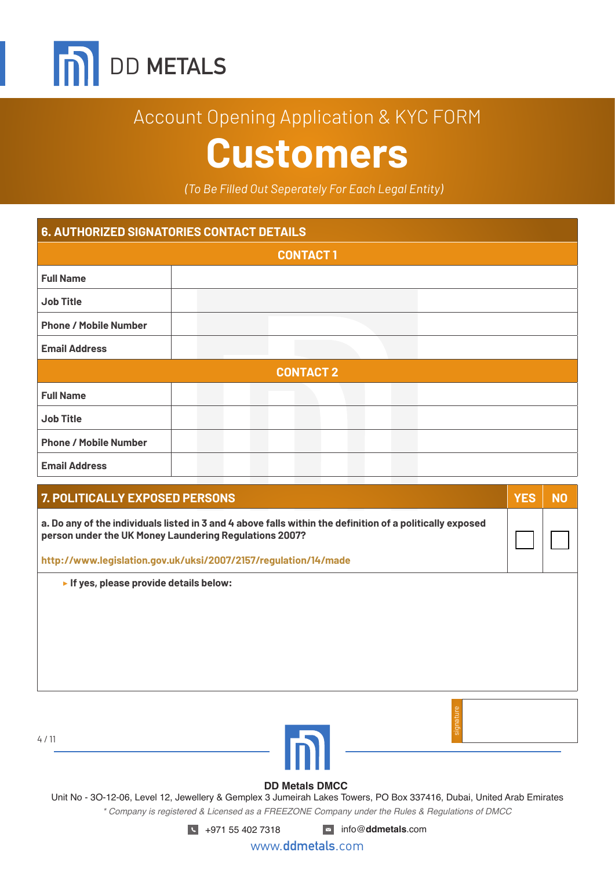

*(To Be Filled Out Seperately For Each Legal Entity)*

| <b>6. AUTHORIZED SIGNATORIES CONTACT DETAILS</b> |  |                  |  |  |
|--------------------------------------------------|--|------------------|--|--|
|                                                  |  | <b>CONTACT1</b>  |  |  |
| <b>Full Name</b>                                 |  |                  |  |  |
| <b>Job Title</b>                                 |  |                  |  |  |
| <b>Phone / Mobile Number</b>                     |  |                  |  |  |
| <b>Email Address</b>                             |  |                  |  |  |
|                                                  |  | <b>CONTACT 2</b> |  |  |
| <b>Full Name</b>                                 |  |                  |  |  |
| <b>Job Title</b>                                 |  |                  |  |  |
| <b>Phone / Mobile Number</b>                     |  |                  |  |  |
| <b>Email Address</b>                             |  |                  |  |  |

| <b>7. POLITICALLY EXPOSED PERSONS</b>                                                                                                                               |  |
|---------------------------------------------------------------------------------------------------------------------------------------------------------------------|--|
| a. Do any of the individuals listed in 3 and 4 above falls within the definition of a politically exposed<br>person under the UK Money Laundering Regulations 2007? |  |
| http://www.legislation.gov.uk/uksi/2007/2157/regulation/14/made                                                                                                     |  |
| If yes, please provide details below:                                                                                                                               |  |

| ٠ |  |  |
|---|--|--|
|   |  |  |



# signature

#### **DD Metals DMCC**

Unit No - 3O-12-06, Level 12, Jewellery & Gemplex 3 Jumeirah Lakes Towers, PO Box 337416, Dubai, United Arab Emirates *\* Company is registered & Licensed as a FREEZONE Company under the Rules & Regulations of DMCC*

+971 55 402 7318 info@**ddmetals**.com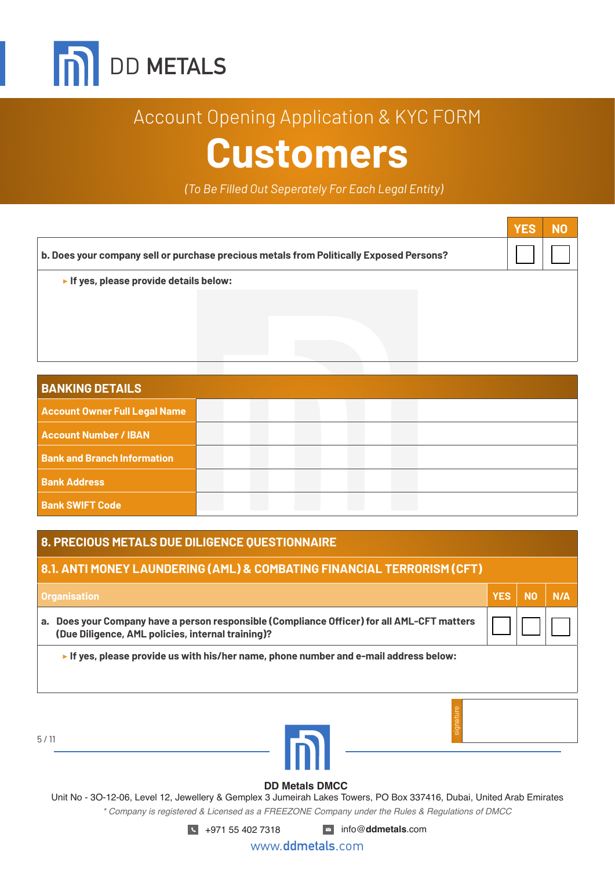

*(To Be Filled Out Seperately For Each Legal Entity)*

|                                                                                         | <b>YES</b> | NO |
|-----------------------------------------------------------------------------------------|------------|----|
| b. Does your company sell or purchase precious metals from Politically Exposed Persons? |            |    |
| If yes, please provide details below:                                                   |            |    |
|                                                                                         |            |    |
|                                                                                         |            |    |
|                                                                                         |            |    |
|                                                                                         |            |    |

| <b>BANKING DETAILS</b>               |  |  |  |
|--------------------------------------|--|--|--|
| <b>Account Owner Full Legal Name</b> |  |  |  |
| <b>Account Number / IBAN</b>         |  |  |  |
| <b>Bank and Branch Information</b>   |  |  |  |
| <b>Bank Address</b>                  |  |  |  |
| <b>Bank SWIFT Code</b>               |  |  |  |

#### **8. PRECIOUS METALS DUE DILIGENCE QUESTIONNAIRE**

5 / 11

#### **8.1. ANTI MONEY LAUNDERING (AML) & COMBATING FINANCIAL TERRORISM (CFT)**

| <b>Organisation</b>                                                                                                                              | <b>YES</b> | <b>NO</b> | N/A |
|--------------------------------------------------------------------------------------------------------------------------------------------------|------------|-----------|-----|
| a. Does your Company have a person responsible (Compliance Officer) for all AML-CFT matters<br>(Due Diligence, AML policies, internal training)? |            |           |     |
| If yes, please provide us with his/her name, phone number and e-mail address below:                                                              |            |           |     |
|                                                                                                                                                  |            |           |     |
|                                                                                                                                                  |            |           |     |
|                                                                                                                                                  |            |           |     |



### **DD Metals DMCC**

Unit No - 3O-12-06, Level 12, Jewellery & Gemplex 3 Jumeirah Lakes Towers, PO Box 337416, Dubai, United Arab Emirates *\* Company is registered & Licensed as a FREEZONE Company under the Rules & Regulations of DMCC*

+971 55 402 7318 info@**ddmetals**.com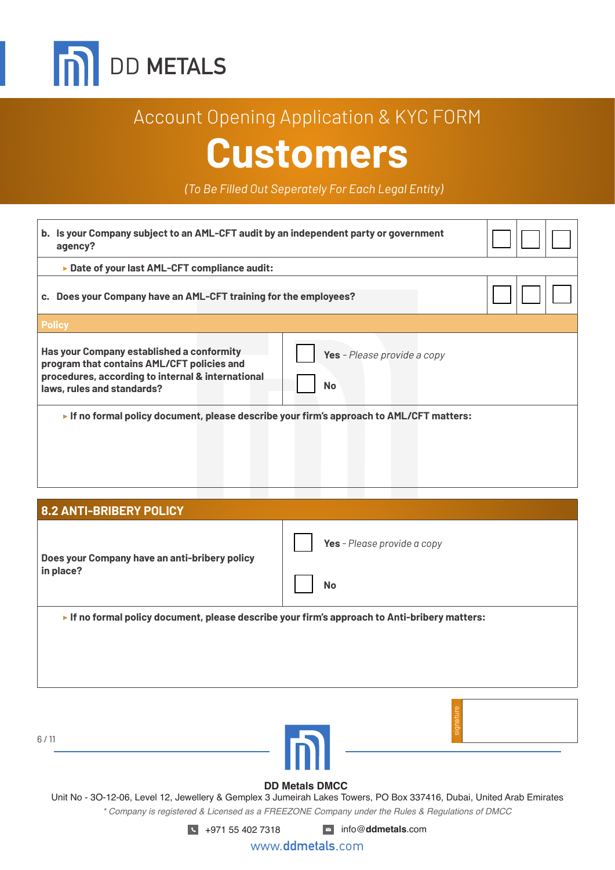

*(To Be Filled Out Seperately For Each Legal Entity)*

| b. Is your Company subject to an AML-CFT audit by an independent party or government<br>agency?                                                                                                                               |  |
|-------------------------------------------------------------------------------------------------------------------------------------------------------------------------------------------------------------------------------|--|
| ► Date of your last AML-CFT compliance audit:                                                                                                                                                                                 |  |
| c. Does your Company have an AML-CFT training for the employees?                                                                                                                                                              |  |
| <b>Policy</b>                                                                                                                                                                                                                 |  |
| <b>Has your Company established a conformity</b><br>Yes - Please provide a copy<br>program that contains AML/CFT policies and<br>procedures, according to internal & international<br><b>No</b><br>laws, rules and standards? |  |
| If no formal policy document, please describe your firm's approach to $AML/CFT$ matters:                                                                                                                                      |  |

**8.2 ANTI-BRIBERY POLICY Does your Company have an anti-bribery policy in place? Yes** *- Please provide a copy* **No** ▶ **If no formal policy document, please describe your firm's approach to Anti-bribery matters:**

6 / 11





#### **DD Metals DMCC**

Unit No - 3O-12-06, Level 12, Jewellery & Gemplex 3 Jumeirah Lakes Towers, PO Box 337416, Dubai, United Arab Emirates *\* Company is registered & Licensed as a FREEZONE Company under the Rules & Regulations of DMCC*

+971 55 402 7318 info@**ddmetals**.com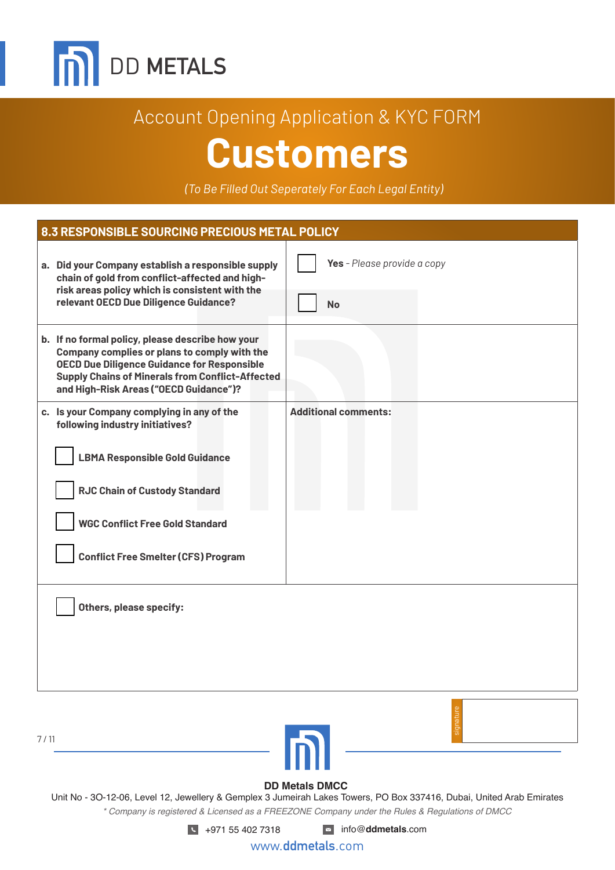

*(To Be Filled Out Seperately For Each Legal Entity)*

| 8.3 RESPONSIBLE SOURCING PRECIOUS METAL POLICY                                                                                                                                                                                                              |                                          |  |  |  |
|-------------------------------------------------------------------------------------------------------------------------------------------------------------------------------------------------------------------------------------------------------------|------------------------------------------|--|--|--|
| a. Did your Company establish a responsible supply<br>chain of gold from conflict-affected and high-<br>risk areas policy which is consistent with the<br>relevant OECD Due Diligence Guidance?                                                             | Yes - Please provide a copy<br><b>No</b> |  |  |  |
| b. If no formal policy, please describe how your<br>Company complies or plans to comply with the<br><b>OECD Due Diligence Guidance for Responsible</b><br><b>Supply Chains of Minerals from Conflict-Affected</b><br>and High-Risk Areas ("OECD Guidance")? |                                          |  |  |  |
| c. Is your Company complying in any of the<br>following industry initiatives?<br><b>LBMA Responsible Gold Guidance</b><br><b>RJC Chain of Custody Standard</b><br><b>WGC Conflict Free Gold Standard</b><br><b>Conflict Free Smelter (CFS) Program</b>      | <b>Additional comments:</b>              |  |  |  |
| Others, please specify:                                                                                                                                                                                                                                     |                                          |  |  |  |
|                                                                                                                                                                                                                                                             |                                          |  |  |  |



#### **DD Metals DMCC**

Unit No - 3O-12-06, Level 12, Jewellery & Gemplex 3 Jumeirah Lakes Towers, PO Box 337416, Dubai, United Arab Emirates *\* Company is registered & Licensed as a FREEZONE Company under the Rules & Regulations of DMCC*

+971 55 402 7318 info@**ddmetals**.com

7 / 11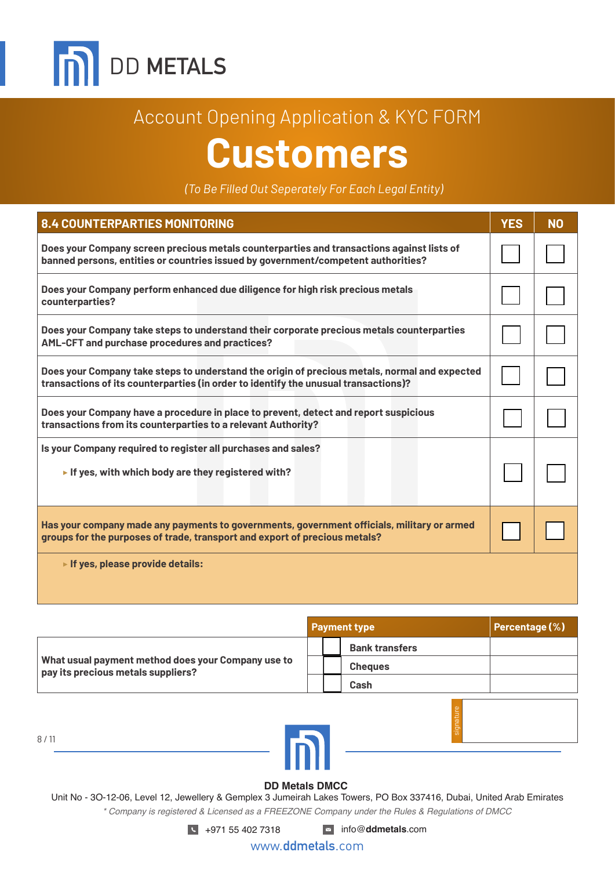

*(To Be Filled Out Seperately For Each Legal Entity)*

| 8.4 COUNTERPARTIES MONITORING                                                                                                                                                        | <b>YES</b> | <b>NO</b> |
|--------------------------------------------------------------------------------------------------------------------------------------------------------------------------------------|------------|-----------|
| Does your Company screen precious metals counterparties and transactions against lists of<br>banned persons, entities or countries issued by government/competent authorities?       |            |           |
| Does your Company perform enhanced due diligence for high risk precious metals<br>counterparties?                                                                                    |            |           |
| Does your Company take steps to understand their corporate precious metals counterparties<br>AML-CFT and purchase procedures and practices?                                          |            |           |
| Does your Company take steps to understand the origin of precious metals, normal and expected<br>transactions of its counterparties (in order to identify the unusual transactions)? |            |           |
| Does your Company have a procedure in place to prevent, detect and report suspicious<br>transactions from its counterparties to a relevant Authority?                                |            |           |
| Is your Company required to register all purchases and sales?<br>If yes, with which body are they registered with?                                                                   |            |           |
| Has your company made any payments to governments, government officials, military or armed<br>groups for the purposes of trade, transport and export of precious metals?             |            |           |
| If yes, please provide details:                                                                                                                                                      |            |           |

|                                                                                          | <b>Payment type</b>   | Percentage (%) |
|------------------------------------------------------------------------------------------|-----------------------|----------------|
| What usual payment method does your Company use to<br>pay its precious metals suppliers? | <b>Bank transfers</b> |                |
|                                                                                          | <b>Cheques</b>        |                |
|                                                                                          | Cash                  |                |
|                                                                                          |                       |                |

8 / 11

#### **DD Metals DMCC**

Unit No - 3O-12-06, Level 12, Jewellery & Gemplex 3 Jumeirah Lakes Towers, PO Box 337416, Dubai, United Arab Emirates *\* Company is registered & Licensed as a FREEZONE Company under the Rules & Regulations of DMCC*

+971 55 402 7318 info@**ddmetals**.com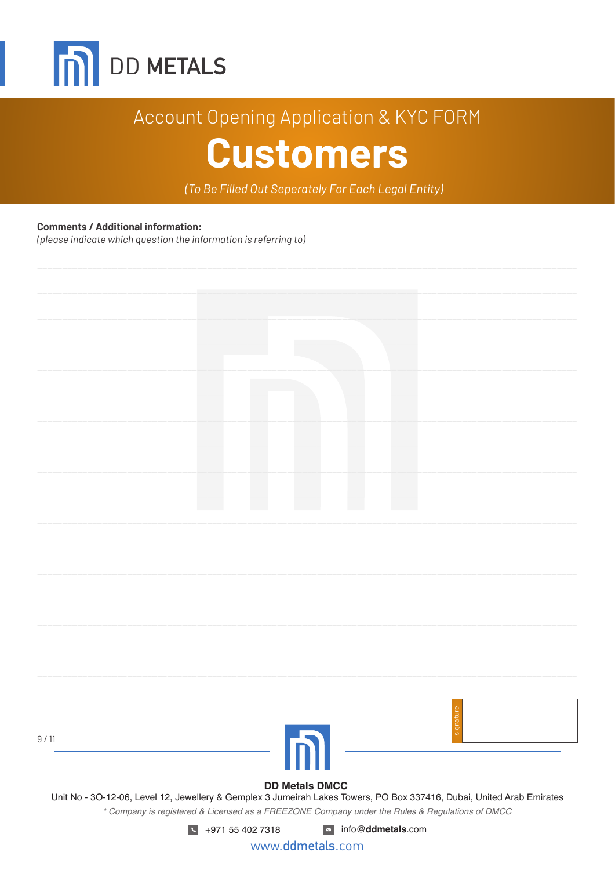

(To Be Filled Out Seperately For Each Legal Entity)

#### **Comments / Additional information:**

(please indicate which question the information is referring to)

| 9/11                                                                                                                  |  |                       |  |  |
|-----------------------------------------------------------------------------------------------------------------------|--|-----------------------|--|--|
|                                                                                                                       |  |                       |  |  |
| Unit No - 3O-12-06, Level 12, Jewellery & Gemplex 3 Jumeirah Lakes Towers, PO Box 337416, Dubai, United Arab Emirates |  | <b>DD Metals DMCC</b> |  |  |
| * Company is registered & Licensed as a FREEZONE Company under the Rules & Regulations of DMCC                        |  |                       |  |  |

www.ddmetals.com

 $\blacksquare$  info@ddmetals.com

 $\sqrt{14971554027318}$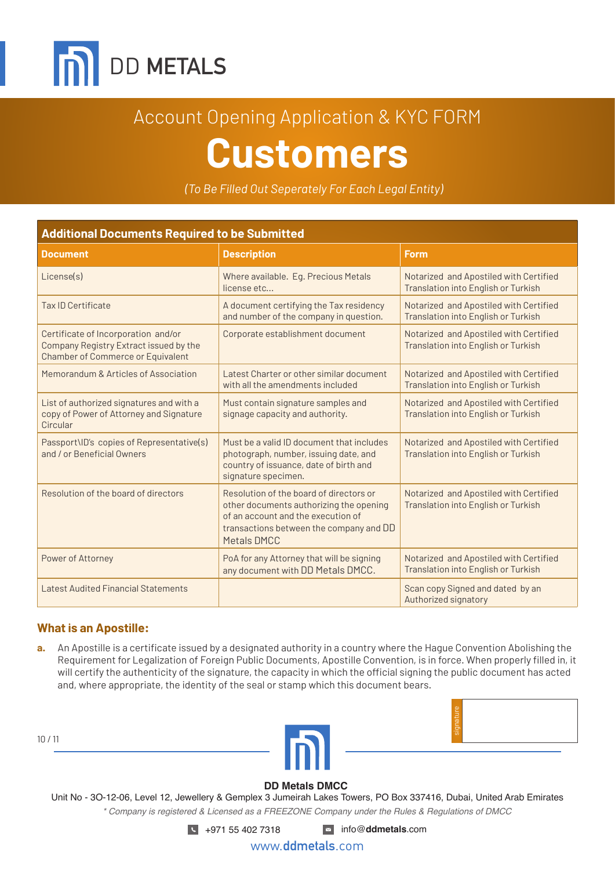

*(To Be Filled Out Seperately For Each Legal Entity)*

| <b>Additional Documents Required to be Submitted</b>                                                                      |                                                                                                                                                                                           |                                                                               |  |  |  |
|---------------------------------------------------------------------------------------------------------------------------|-------------------------------------------------------------------------------------------------------------------------------------------------------------------------------------------|-------------------------------------------------------------------------------|--|--|--|
| <b>Document</b>                                                                                                           | <b>Description</b>                                                                                                                                                                        | <b>Form</b>                                                                   |  |  |  |
| License(s)                                                                                                                | Where available. Eq. Precious Metals<br>license etc                                                                                                                                       | Notarized and Apostiled with Certified<br>Translation into English or Turkish |  |  |  |
| Tax ID Certificate                                                                                                        | A document certifying the Tax residency<br>and number of the company in question.                                                                                                         | Notarized and Apostiled with Certified<br>Translation into English or Turkish |  |  |  |
| Certificate of Incorporation and/or<br>Company Registry Extract issued by the<br><b>Chamber of Commerce or Equivalent</b> | Corporate establishment document                                                                                                                                                          | Notarized and Apostiled with Certified<br>Translation into English or Turkish |  |  |  |
| Memorandum & Articles of Association                                                                                      | Latest Charter or other similar document<br>with all the amendments included                                                                                                              | Notarized and Apostiled with Certified<br>Translation into English or Turkish |  |  |  |
| List of authorized signatures and with a<br>copy of Power of Attorney and Signature<br>Circular                           | Must contain signature samples and<br>signage capacity and authority.                                                                                                                     | Notarized and Apostiled with Certified<br>Translation into English or Turkish |  |  |  |
| Passport\ID's copies of Representative(s)<br>and / or Beneficial Owners                                                   | Must be a valid ID document that includes<br>photograph, number, issuing date, and<br>country of issuance, date of birth and<br>signature specimen.                                       | Notarized and Apostiled with Certified<br>Translation into English or Turkish |  |  |  |
| Resolution of the board of directors                                                                                      | Resolution of the board of directors or<br>other documents authorizing the opening<br>of an account and the execution of<br>transactions between the company and DD<br><b>Metals DMCC</b> | Notarized and Apostiled with Certified<br>Translation into English or Turkish |  |  |  |
| Power of Attorney                                                                                                         | PoA for any Attorney that will be signing<br>any document with DD Metals DMCC.                                                                                                            | Notarized and Apostiled with Certified<br>Translation into English or Turkish |  |  |  |
| <b>Latest Audited Financial Statements</b>                                                                                |                                                                                                                                                                                           | Scan copy Signed and dated by an<br>Authorized signatory                      |  |  |  |

#### **What is an Apostille:**

10 / 11

**a.** An Apostille is a certificate issued by a designated authority in a country where the Hague Convention Abolishing the Requirement for Legalization of Foreign Public Documents, Apostille Convention, is in force. When properly filled in, it will certify the authenticity of the signature, the capacity in which the official signing the public document has acted and, where appropriate, the identity of the seal or stamp which this document bears.

| signature |  |
|-----------|--|
|           |  |



#### **DD Metals DMCC**

Unit No - 3O-12-06, Level 12, Jewellery & Gemplex 3 Jumeirah Lakes Towers, PO Box 337416, Dubai, United Arab Emirates *\* Company is registered & Licensed as a FREEZONE Company under the Rules & Regulations of DMCC*

+971 55 402 7318 info@**ddmetals**.com